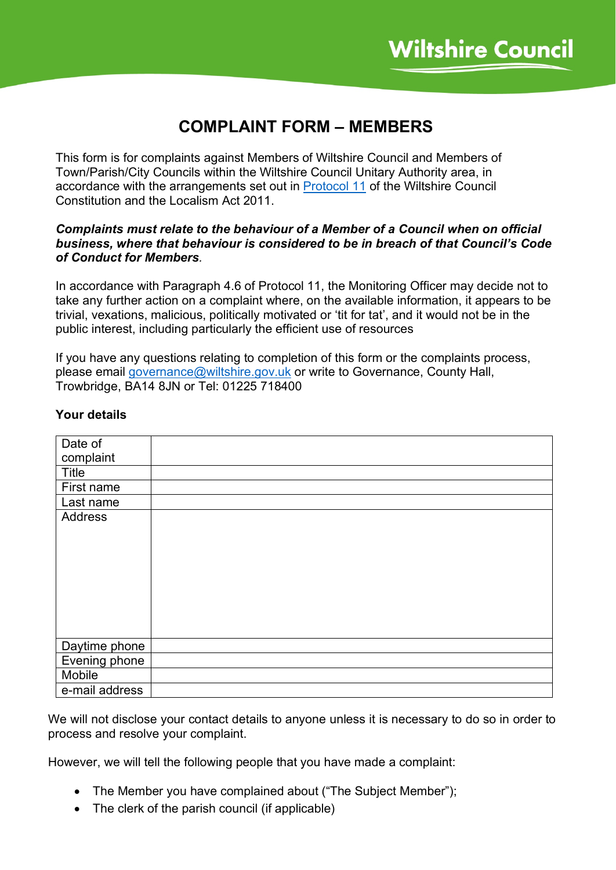# **COMPLAINT FORM – MEMBERS**

This form is for complaints against Members of Wiltshire Council and Members of Town/Parish/City Councils within the Wiltshire Council Unitary Authority area, in accordance with the arrangements set out in [Protocol 11](https://cms.wiltshire.gov.uk/ecSDDisplay.aspx?NAME=Protocol%2011%20-%20Arrangements%20for%20dealing%20with%20Code%20o&ID=654&RPID=20888106) of the Wiltshire Council Constitution and the Localism Act 2011.

### *Complaints must relate to the behaviour of a Member of a Council when on official business, where that behaviour is considered to be in breach of that Council's Code of Conduct for Members.*

In accordance with Paragraph 4.6 of Protocol 11, the Monitoring Officer may decide not to take any further action on a complaint where, on the available information, it appears to be trivial, vexations, malicious, politically motivated or 'tit for tat', and it would not be in the public interest, including particularly the efficient use of resources

If you have any questions relating to completion of this form or the complaints process, please email [governance@wiltshire.gov.uk](mailto:governance@wiltshire.gov.uk) or write to Governance, County Hall, Trowbridge, BA14 8JN or Tel: 01225 718400

| Date of        |  |
|----------------|--|
| complaint      |  |
| Title          |  |
| First name     |  |
| Last name      |  |
| <b>Address</b> |  |
|                |  |
|                |  |
|                |  |
|                |  |
|                |  |
|                |  |
|                |  |
|                |  |
| Daytime phone  |  |
| Evening phone  |  |
| Mobile         |  |
| e-mail address |  |

## **Your details**

We will not disclose your contact details to anyone unless it is necessary to do so in order to process and resolve your complaint.

However, we will tell the following people that you have made a complaint:

- The Member you have complained about ("The Subject Member");
- The clerk of the parish council (if applicable)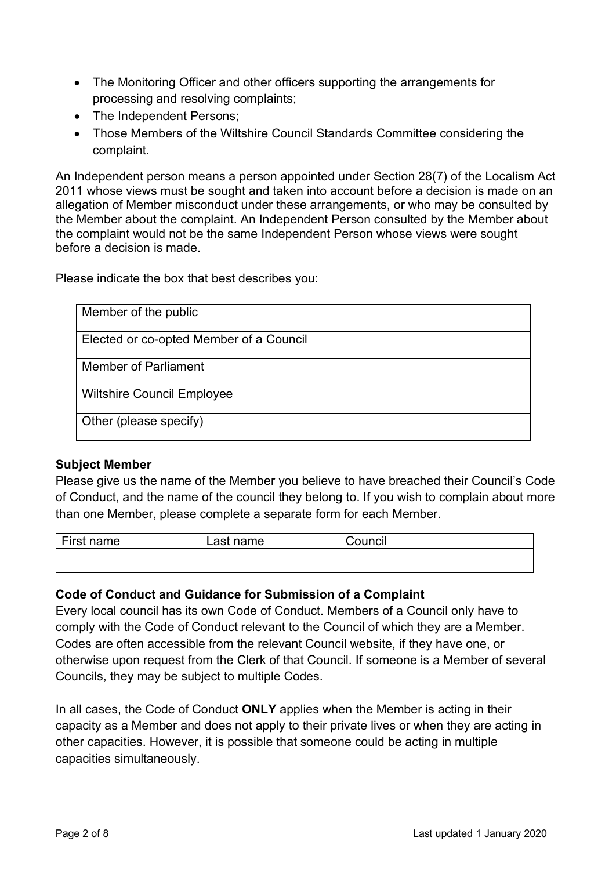- The Monitoring Officer and other officers supporting the arrangements for processing and resolving complaints;
- The Independent Persons;
- Those Members of the Wiltshire Council Standards Committee considering the complaint.

An Independent person means a person appointed under Section 28(7) of the Localism Act 2011 whose views must be sought and taken into account before a decision is made on an allegation of Member misconduct under these arrangements, or who may be consulted by the Member about the complaint. An Independent Person consulted by the Member about the complaint would not be the same Independent Person whose views were sought before a decision is made.

Please indicate the box that best describes you:

| Member of the public                    |  |
|-----------------------------------------|--|
| Elected or co-opted Member of a Council |  |
| Member of Parliament                    |  |
| <b>Wiltshire Council Employee</b>       |  |
| Other (please specify)                  |  |

### **Subject Member**

Please give us the name of the Member you believe to have breached their Council's Code of Conduct, and the name of the council they belong to. If you wish to complain about more than one Member, please complete a separate form for each Member.

| First name | ∟ast name | .<br>⊜ouncil |
|------------|-----------|--------------|
|            |           |              |

### **Code of Conduct and Guidance for Submission of a Complaint**

Every local council has its own Code of Conduct. Members of a Council only have to comply with the Code of Conduct relevant to the Council of which they are a Member. Codes are often accessible from the relevant Council website, if they have one, or otherwise upon request from the Clerk of that Council. If someone is a Member of several Councils, they may be subject to multiple Codes.

In all cases, the Code of Conduct **ONLY** applies when the Member is acting in their capacity as a Member and does not apply to their private lives or when they are acting in other capacities. However, it is possible that someone could be acting in multiple capacities simultaneously.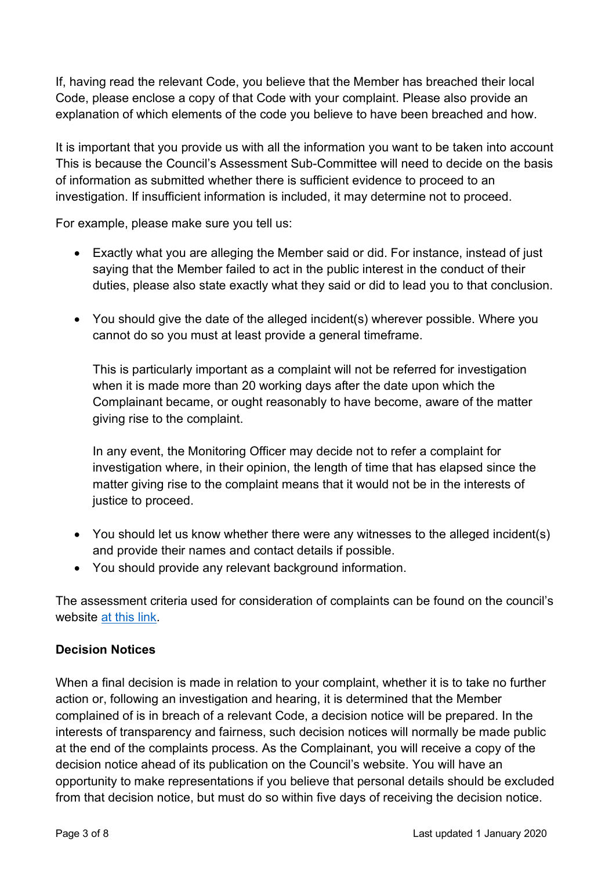If, having read the relevant Code, you believe that the Member has breached their local Code, please enclose a copy of that Code with your complaint. Please also provide an explanation of which elements of the code you believe to have been breached and how.

It is important that you provide us with all the information you want to be taken into account This is because the Council's Assessment Sub-Committee will need to decide on the basis of information as submitted whether there is sufficient evidence to proceed to an investigation. If insufficient information is included, it may determine not to proceed.

For example, please make sure you tell us:

- Exactly what you are alleging the Member said or did. For instance, instead of just saying that the Member failed to act in the public interest in the conduct of their duties, please also state exactly what they said or did to lead you to that conclusion.
- You should give the date of the alleged incident(s) wherever possible. Where you cannot do so you must at least provide a general timeframe.

This is particularly important as a complaint will not be referred for investigation when it is made more than 20 working days after the date upon which the Complainant became, or ought reasonably to have become, aware of the matter giving rise to the complaint.

In any event, the Monitoring Officer may decide not to refer a complaint for investigation where, in their opinion, the length of time that has elapsed since the matter giving rise to the complaint means that it would not be in the interests of justice to proceed.

- You should let us know whether there were any witnesses to the alleged incident(s) and provide their names and contact details if possible.
- You should provide any relevant background information.

The assessment criteria used for consideration of complaints can be found on the council's website [at this link.](http://www.wiltshire.gov.uk/complaints-about-council)

### **Decision Notices**

When a final decision is made in relation to your complaint, whether it is to take no further action or, following an investigation and hearing, it is determined that the Member complained of is in breach of a relevant Code, a decision notice will be prepared. In the interests of transparency and fairness, such decision notices will normally be made public at the end of the complaints process. As the Complainant, you will receive a copy of the decision notice ahead of its publication on the Council's website. You will have an opportunity to make representations if you believe that personal details should be excluded from that decision notice, but must do so within five days of receiving the decision notice.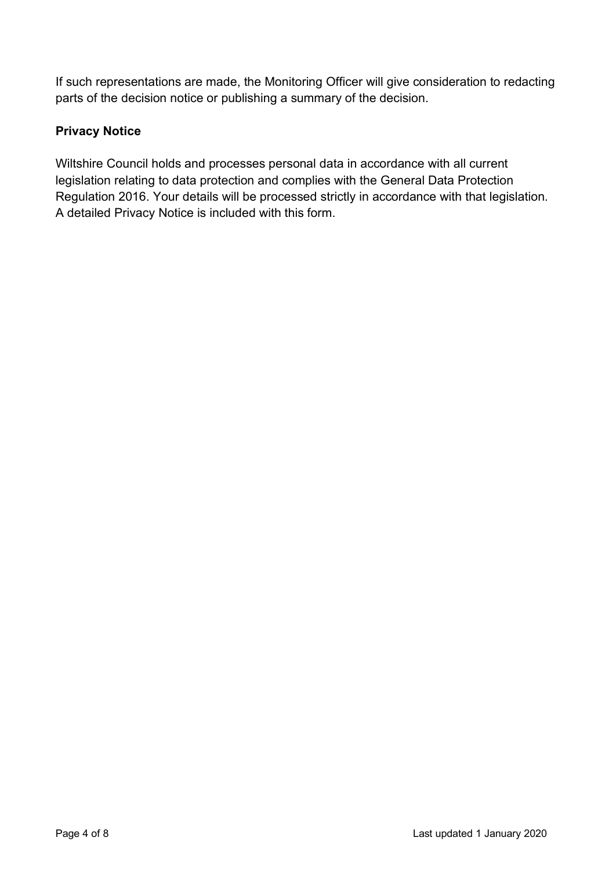If such representations are made, the Monitoring Officer will give consideration to redacting parts of the decision notice or publishing a summary of the decision.

# **Privacy Notice**

Wiltshire Council holds and processes personal data in accordance with all current legislation relating to data protection and complies with the General Data Protection Regulation 2016. Your details will be processed strictly in accordance with that legislation. A detailed Privacy Notice is included with this form.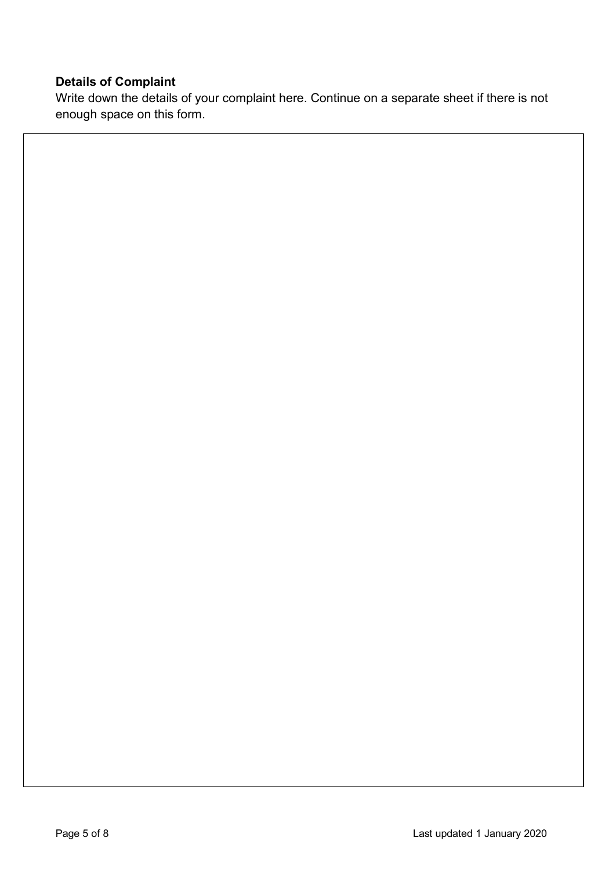# **Details of Complaint**

Write down the details of your complaint here. Continue on a separate sheet if there is not enough space on this form.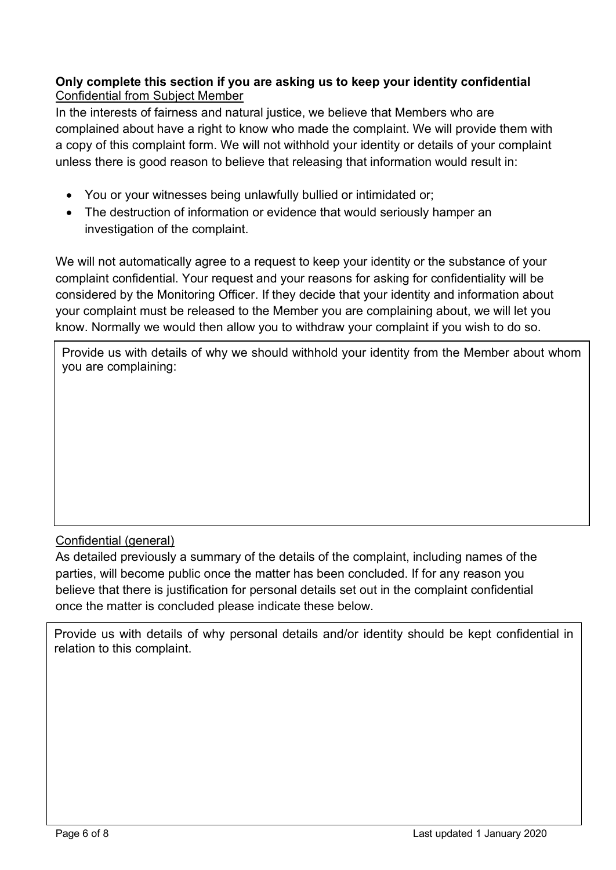### **Only complete this section if you are asking us to keep your identity confidential** Confidential from Subject Member

In the interests of fairness and natural justice, we believe that Members who are complained about have a right to know who made the complaint. We will provide them with a copy of this complaint form. We will not withhold your identity or details of your complaint unless there is good reason to believe that releasing that information would result in:

- You or your witnesses being unlawfully bullied or intimidated or;
- The destruction of information or evidence that would seriously hamper an investigation of the complaint.

We will not automatically agree to a request to keep your identity or the substance of your complaint confidential. Your request and your reasons for asking for confidentiality will be considered by the Monitoring Officer. If they decide that your identity and information about your complaint must be released to the Member you are complaining about, we will let you know. Normally we would then allow you to withdraw your complaint if you wish to do so.

Provide us with details of why we should withhold your identity from the Member about whom you are complaining:

# Confidential (general)

As detailed previously a summary of the details of the complaint, including names of the parties, will become public once the matter has been concluded. If for any reason you believe that there is justification for personal details set out in the complaint confidential once the matter is concluded please indicate these below.

Provide us with details of why personal details and/or identity should be kept confidential in relation to this complaint.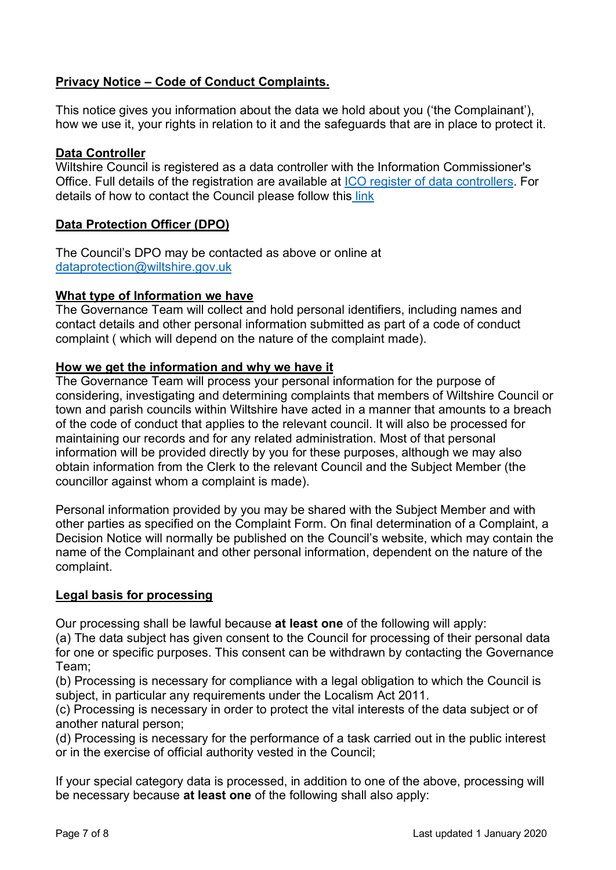## **Privacy Notice – Code of Conduct Complaints.**

This notice gives you information about the data we hold about you ('the Complainant'), how we use it, your rights in relation to it and the safeguards that are in place to protect it.

### **Data Controller**

Wiltshire Council is registered as a data controller with the Information Commissioner's Office. Full details of the registration are available at [ICO register of data controllers.](https://ico.org.uk/ESDWebPages/Entry/Z1668953) For details of how to contact the Council please follow this [link](http://www.wiltshire.gov.uk/contact)

### **Data Protection Officer (DPO)**

The Council's DPO may be contacted as above or online at [dataprotection@wiltshire.gov.uk](mailto:dataprotection@wiltshire.gov.uk)

### **What type of Information we have**

The Governance Team will collect and hold personal identifiers, including names and contact details and other personal information submitted as part of a code of conduct complaint ( which will depend on the nature of the complaint made).

### **How we get the information and why we have it**

The Governance Team will process your personal information for the purpose of considering, investigating and determining complaints that members of Wiltshire Council or town and parish councils within Wiltshire have acted in a manner that amounts to a breach of the code of conduct that applies to the relevant council. It will also be processed for maintaining our records and for any related administration. Most of that personal information will be provided directly by you for these purposes, although we may also obtain information from the Clerk to the relevant Council and the Subject Member (the councillor against whom a complaint is made).

Personal information provided by you may be shared with the Subject Member and with other parties as specified on the Complaint Form. On final determination of a Complaint, a Decision Notice will normally be published on the Council's website, which may contain the name of the Complainant and other personal information, dependent on the nature of the complaint.

### **Legal basis for processing**

Our processing shall be lawful because **at least one** of the following will apply:

(a) The data subject has given consent to the Council for processing of their personal data for one or specific purposes. This consent can be withdrawn by contacting the Governance Team;

(b) Processing is necessary for compliance with a legal obligation to which the Council is subject, in particular any requirements under the Localism Act 2011.

(c) Processing is necessary in order to protect the vital interests of the data subject or of another natural person;

(d) Processing is necessary for the performance of a task carried out in the public interest or in the exercise of official authority vested in the Council;

If your special category data is processed, in addition to one of the above, processing will be necessary because **at least one** of the following shall also apply: